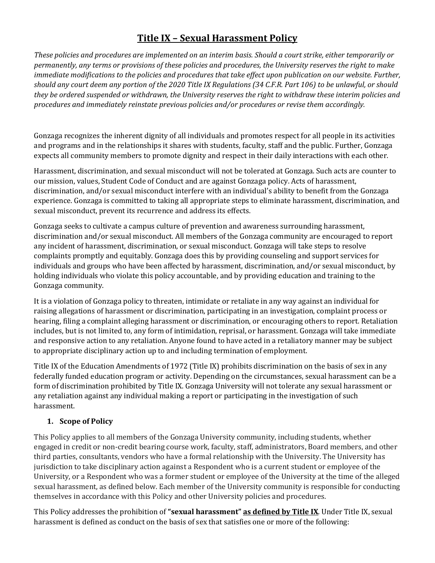## **Title IX – Sexual Harassment Policy**

*These policies and procedures are implemented on an interim basis. Should a court strike, either temporarily or permanently, any terms or provisions of these policies and procedures, the University reserves the right to make immediate modifications to the policies and procedures that take effect upon publication on our website. Further, should any court deem any portion of the 2020 Title IX Regulations (34 C.F.R. Part 106) to be unlawful, or should they be ordered suspended or withdrawn, the University reserves the right to withdraw these interim policies and procedures and immediately reinstate previous policies and/or procedures or revise them accordingly.*

Gonzaga recognizes the inherent dignity of all individuals and promotes respect for all people in its activities and programs and in the relationships it shares with students, faculty, staff and the public. Further, Gonzaga expects all community members to promote dignity and respect in their daily interactions with each other.

Harassment, discrimination, and sexual misconduct will not be tolerated at Gonzaga. Such acts are counter to our mission, values, Student Code of Conduct and are against Gonzaga policy. Acts of harassment, discrimination, and/or sexual misconduct interfere with an individual's ability to benefit from the Gonzaga experience. Gonzaga is committed to taking all appropriate steps to eliminate harassment, discrimination, and sexual misconduct, prevent its recurrence and address its effects.

Gonzaga seeks to cultivate a campus culture of prevention and awareness surrounding harassment, discrimination and/or sexual misconduct. All members of the Gonzaga community are encouraged to report any incident of harassment, discrimination, or sexual misconduct. Gonzaga will take steps to resolve complaints promptly and equitably. Gonzaga does this by providing counseling and support services for individuals and groups who have been affected by harassment, discrimination, and/or sexual misconduct, by holding individuals who violate this policy accountable, and by providing education and training to the Gonzaga community.

It is a violation of Gonzaga policy to threaten, intimidate or retaliate in any way against an individual for raising allegations of harassment or discrimination, participating in an investigation, complaint process or hearing, filing a complaint alleging harassment or discrimination, or encouraging others to report. Retaliation includes, but is not limited to, any form of intimidation, reprisal, or harassment. Gonzaga will take immediate and responsive action to any retaliation. Anyone found to have acted in a retaliatory manner may be subject to appropriate disciplinary action up to and including termination of employment.

Title IX of the Education Amendments of 1972 (Title IX) prohibits discrimination on the basis of sex in any federally funded education program or activity. Depending on the circumstances, sexual harassment can be a form of discrimination prohibited by Title IX. Gonzaga University will not tolerate any sexual harassment or any retaliation against any individual making a report or participating in the investigation of such harassment.

### **1. Scope of Policy**

This Policy applies to all members of the Gonzaga University community, including students, whether engaged in credit or non-credit bearing course work, faculty, staff, administrators, Board members, and other third parties, consultants, vendors who have a formal relationship with the University. The University has jurisdiction to take disciplinary action against a Respondent who is a current student or employee of the University, or a Respondent who was a former student or employee of the University at the time of the alleged sexual harassment, as defined below. Each member of the University community is responsible for conducting themselves in accordance with this Policy and other University policies and procedures.

This Policy addresses the prohibition of **"sexual harassment" as defined by Title IX**. Under Title IX, sexual harassment is defined as conduct on the basis of sex that satisfies one or more of the following: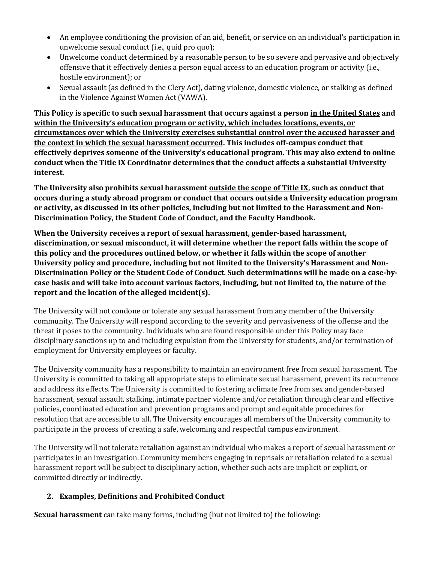- An employee conditioning the provision of an aid, benefit, or service on an individual's participation in unwelcome sexual conduct (i.e., quid pro quo);
- Unwelcome conduct determined by a reasonable person to be so severe and pervasive and objectively offensive that it effectively denies a person equal access to an education program or activity (i.e., hostile environment); or
- Sexual assault (as defined in the Clery Act), dating violence, domestic violence, or stalking as defined in the Violence Against Women Act (VAWA).

**This Policy is specific to such sexual harassment that occurs against a person in the United States and within the University's education program or activity, which includes locations, events, or circumstances over which the University exercises substantial control over the accused harasser and the context in which the sexual harassment occurred. This includes off-campus conduct that effectively deprives someone of the University's educational program. This may also extend to online conduct when the Title IX Coordinator determines that the conduct affects a substantial University interest.**

**The University also prohibits sexual harassment outside the scope of Title IX, such as conduct that occurs during a study abroad program or conduct that occurs outside a University education program or activity, as discussed in its other policies, including but not limited to the Harassment and Non-Discrimination Policy, the Student Code of Conduct, and the Faculty Handbook.**

**When the University receives a report of sexual harassment, gender-based harassment, discrimination, or sexual misconduct, it will determine whether the report falls within the scope of this policy and the procedures outlined below, or whether it falls within the scope of another University policy and procedure, including but not limited to the University's Harassment and Non-Discrimination Policy or the Student Code of Conduct. Such determinations will be made on a case-bycase basis and will take into account various factors, including, but not limited to, the nature of the report and the location of the alleged incident(s).** 

The University will not condone or tolerate any sexual harassment from any member of the University community. The University will respond according to the severity and pervasiveness of the offense and the threat it poses to the community. Individuals who are found responsible under this Policy may face disciplinary sanctions up to and including expulsion from the University for students, and/or termination of employment for University employees or faculty.

The University community has a responsibility to maintain an environment free from sexual harassment. The University is committed to taking all appropriate steps to eliminate sexual harassment, prevent its recurrence and address its effects. The University is committed to fostering a climate free from sex and gender-based harassment, sexual assault, stalking, intimate partner violence and/or retaliation through clear and effective policies, coordinated education and prevention programs and prompt and equitable procedures for resolution that are accessible to all. The University encourages all members of the University community to participate in the process of creating a safe, welcoming and respectful campus environment.

The University will not tolerate retaliation against an individual who makes a report of sexual harassment or participates in an investigation. Community members engaging in reprisals or retaliation related to a sexual harassment report will be subject to disciplinary action, whether such acts are implicit or explicit, or committed directly or indirectly.

### **2. Examples, Definitions and Prohibited Conduct**

**Sexual harassment** can take many forms, including (but not limited to) the following: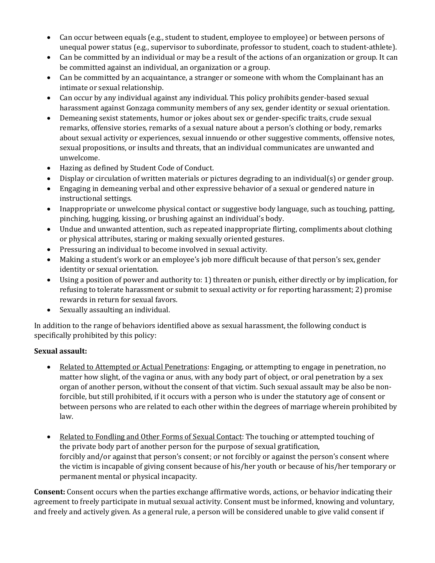- Can occur between equals (e.g., student to student, employee to employee) or between persons of unequal power status (e.g., supervisor to subordinate, professor to student, coach to student-athlete).
- Can be committed by an individual or may be a result of the actions of an organization or group. It can be committed against an individual, an organization or a group.
- Can be committed by an acquaintance, a stranger or someone with whom the Complainant has an intimate or sexual relationship.
- Can occur by any individual against any individual. This policy prohibits gender-based sexual harassment against Gonzaga community members of any sex, gender identity or sexual orientation.
- Demeaning sexist statements, humor or jokes about sex or gender-specific traits, crude sexual remarks, offensive stories, remarks of a sexual nature about a person's clothing or body, remarks about sexual activity or experiences, sexual innuendo or other suggestive comments, offensive notes, sexual propositions, or insults and threats, that an individual communicates are unwanted and unwelcome.
- Hazing as defined by Student Code of Conduct.
- Display or circulation of written materials or pictures degrading to an individual(s) or gender group.
- Engaging in demeaning verbal and other expressive behavior of a sexual or gendered nature in instructional settings.
- Inappropriate or unwelcome physical contact or suggestive body language, such as touching, patting, pinching, hugging, kissing, or brushing against an individual's body.
- Undue and unwanted attention, such as repeated inappropriate flirting, compliments about clothing or physical attributes, staring or making sexually oriented gestures.
- Pressuring an individual to become involved in sexual activity.
- Making a student's work or an employee's job more difficult because of that person's sex, gender identity or sexual orientation.
- Using a position of power and authority to: 1) threaten or punish, either directly or by implication, for refusing to tolerate harassment or submit to sexual activity or for reporting harassment; 2) promise rewards in return for sexual favors.
- Sexually assaulting an individual.

In addition to the range of behaviors identified above as sexual harassment, the following conduct is specifically prohibited by this policy:

### **Sexual assault:**

- Related to Attempted or Actual Penetrations: Engaging, or attempting to engage in penetration, no matter how slight, of the vagina or anus, with any body part of object, or oral penetration by a sex organ of another person, without the consent of that victim. Such sexual assault may be also be nonforcible, but still prohibited, if it occurs with a person who is under the statutory age of consent or between persons who are related to each other within the degrees of marriage wherein prohibited by law.
- Related to Fondling and Other Forms of Sexual Contact: The touching or attempted touching of the private body part of another person for the purpose of sexual gratification, forcibly and/or against that person's consent; or not forcibly or against the person's consent where the victim is incapable of giving consent because of his/her youth or because of his/her temporary or permanent mental or physical incapacity.

**Consent:** Consent occurs when the parties exchange affirmative words, actions, or behavior indicating their agreement to freely participate in mutual sexual activity. Consent must be informed, knowing and voluntary, and freely and actively given. As a general rule, a person will be considered unable to give valid consent if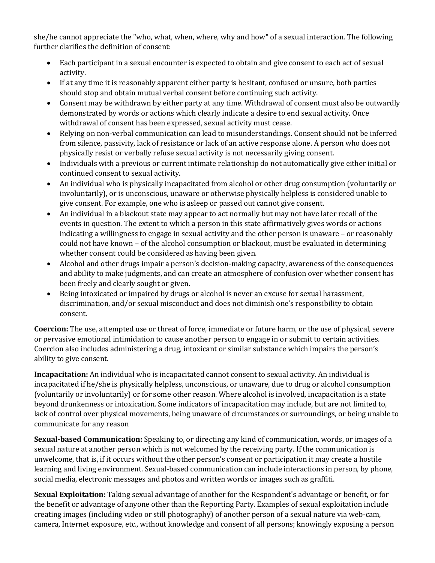she/he cannot appreciate the "who, what, when, where, why and how" of a sexual interaction. The following further clarifies the definition of consent:

- Each participant in a sexual encounter is expected to obtain and give consent to each act of sexual activity.
- If at any time it is reasonably apparent either party is hesitant, confused or unsure, both parties should stop and obtain mutual verbal consent before continuing such activity.
- Consent may be withdrawn by either party at any time. Withdrawal of consent must also be outwardly demonstrated by words or actions which clearly indicate a desire to end sexual activity. Once withdrawal of consent has been expressed, sexual activity must cease.
- Relying on non-verbal communication can lead to misunderstandings. Consent should not be inferred from silence, passivity, lack of resistance or lack of an active response alone. A person who does not physically resist or verbally refuse sexual activity is not necessarily giving consent.
- Individuals with a previous or current intimate relationship do not automatically give either initial or continued consent to sexual activity.
- An individual who is physically incapacitated from alcohol or other drug consumption (voluntarily or involuntarily), or is unconscious, unaware or otherwise physically helpless is considered unable to give consent. For example, one who is asleep or passed out cannot give consent.
- An individual in a blackout state may appear to act normally but may not have later recall of the events in question. The extent to which a person in this state affirmatively gives words or actions indicating a willingness to engage in sexual activity and the other person is unaware – or reasonably could not have known – of the alcohol consumption or blackout, must be evaluated in determining whether consent could be considered as having been given.
- Alcohol and other drugs impair a person's decision-making capacity, awareness of the consequences and ability to make judgments, and can create an atmosphere of confusion over whether consent has been freely and clearly sought or given.
- Being intoxicated or impaired by drugs or alcohol is never an excuse for sexual harassment, discrimination, and/or sexual misconduct and does not diminish one's responsibility to obtain consent.

**Coercion:** The use, attempted use or threat of force, immediate or future harm, or the use of physical, severe or pervasive emotional intimidation to cause another person to engage in or submit to certain activities. Coercion also includes administering a drug, intoxicant or similar substance which impairs the person's ability to give consent.

**Incapacitation:** An individual who is incapacitated cannot consent to sexual activity. An individual is incapacitated if he/she is physically helpless, unconscious, or unaware, due to drug or alcohol consumption (voluntarily or involuntarily) or for some other reason. Where alcohol is involved, incapacitation is a state beyond drunkenness or intoxication. Some indicators of incapacitation may include, but are not limited to, lack of control over physical movements, being unaware of circumstances or surroundings, or being unable to communicate for any reason

**Sexual-based Communication:** Speaking to, or directing any kind of communication, words, or images of a sexual nature at another person which is not welcomed by the receiving party. If the communication is unwelcome, that is, if it occurs without the other person's consent or participation it may create a hostile learning and living environment. Sexual-based communication can include interactions in person, by phone, social media, electronic messages and photos and written words or images such as graffiti.

**Sexual Exploitation:** Taking sexual advantage of another for the Respondent's advantage or benefit, or for the benefit or advantage of anyone other than the Reporting Party. Examples of sexual exploitation include creating images (including video or still photography) of another person of a sexual nature via web-cam, camera, Internet exposure, etc., without knowledge and consent of all persons; knowingly exposing a person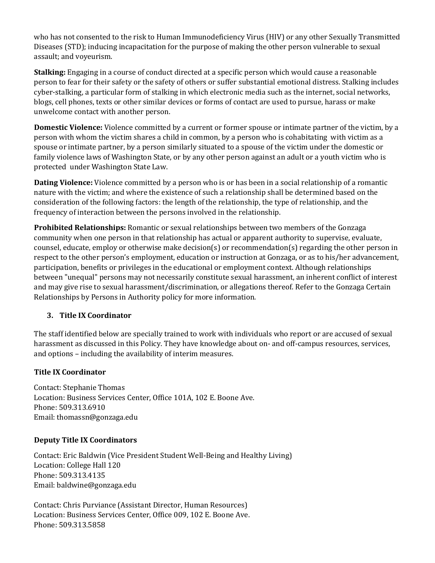who has not consented to the risk to Human Immunodeficiency Virus (HIV) or any other Sexually Transmitted Diseases (STD); inducing incapacitation for the purpose of making the other person vulnerable to sexual assault; and voyeurism.

**Stalking:** Engaging in a course of conduct directed at a specific person which would cause a reasonable person to fear for their safety or the safety of others or suffer substantial emotional distress. Stalking includes cyber-stalking, a particular form of stalking in which electronic media such as the internet, social networks, blogs, cell phones, texts or other similar devices or forms of contact are used to pursue, harass or make unwelcome contact with another person.

**Domestic Violence:** Violence committed by a current or former spouse or intimate partner of the victim, by a person with whom the victim shares a child in common, by a person who is cohabitating with victim as a spouse or intimate partner, by a person similarly situated to a spouse of the victim under the domestic or family violence laws of Washington State, or by any other person against an adult or a youth victim who is protected under Washington State Law.

**Dating Violence:** Violence committed by a person who is or has been in a social relationship of a romantic nature with the victim; and where the existence of such a relationship shall be determined based on the consideration of the following factors: the length of the relationship, the type of relationship, and the frequency of interaction between the persons involved in the relationship.

**Prohibited Relationships:** Romantic or sexual relationships between two members of the Gonzaga community when one person in that relationship has actual or apparent authority to supervise, evaluate, counsel, educate, employ or otherwise make decision(s) or recommendation(s) regarding the other person in respect to the other person's employment, education or instruction at Gonzaga, or as to his/her advancement, participation, benefits or privileges in the educational or employment context. Although relationships between "unequal" persons may not necessarily constitute sexual harassment, an inherent conflict of interest and may give rise to sexual harassment/discrimination, or allegations thereof. Refer to the Gonzaga Certain Relationships by Persons in Authority policy for more information.

### **3. Title IX Coordinator**

The staff identified below are specially trained to work with individuals who report or are accused of sexual harassment as discussed in this Policy. They have knowledge about on- and off-campus resources, services, and options – including the availability of interim measures.

### **Title IX Coordinator**

Contact: Stephanie Thomas Location: Business Services Center, Office 101A, 102 E. Boone Ave. Phone: 509.313.6910 Email: thomassn@gonzaga.edu

#### **Deputy Title IX Coordinators**

Contact: Eric Baldwin (Vice President Student Well-Being and Healthy Living) Location: College Hall 120 Phone: 509.313.4135 Email: baldwine@gonzaga.edu

Contact: Chris Purviance (Assistant Director, Human Resources) Location: Business Services Center, Office 009, 102 E. Boone Ave. Phone: 509.313.5858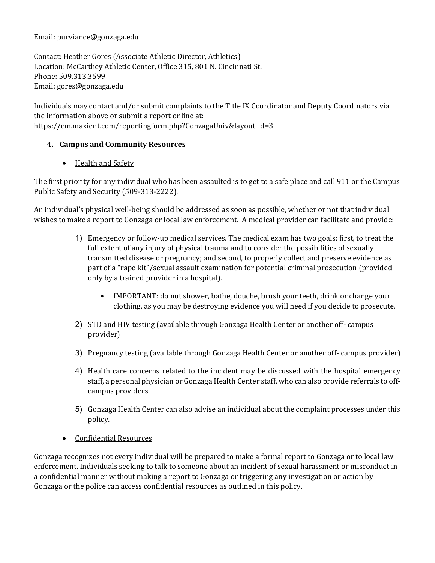#### Email: purviance@gonzaga.edu

Contact: Heather Gores (Associate Athletic Director, Athletics) Location: McCarthey Athletic Center, Office 315, 801 N. Cincinnati St. Phone: 509.313.3599 Email: gores@gonzaga.edu

Individuals may contact and/or submit complaints to the Title IX Coordinator and Deputy Coordinators via the information above or submit a report online at: https://cm.maxient.com/reportingform.php?GonzagaUniv&layout\_id=3

### **4. Campus and Community Resources**

### • Health and Safety

The first priority for any individual who has been assaulted is to get to a safe place and call 911 or the Campus Public Safety and Security (509-313-2222).

An individual's physical well-being should be addressed as soon as possible, whether or not that individual wishes to make a report to Gonzaga or local law enforcement. A medical provider can facilitate and provide:

- 1) Emergency or follow-up medical services. The medical exam has two goals: first, to treat the full extent of any injury of physical trauma and to consider the possibilities of sexually transmitted disease or pregnancy; and second, to properly collect and preserve evidence as part of a "rape kit"/sexual assault examination for potential criminal prosecution (provided only by a trained provider in a hospital).
	- IMPORTANT: do not shower, bathe, douche, brush your teeth, drink or change your clothing, as you may be destroying evidence you will need if you decide to prosecute.
- 2) STD and HIV testing (available through Gonzaga Health Center or another off- campus provider)
- 3) Pregnancy testing (available through Gonzaga Health Center or another off- campus provider)
- 4) Health care concerns related to the incident may be discussed with the hospital emergency staff, a personal physician or Gonzaga Health Center staff, who can also provide referrals to offcampus providers
- 5) Gonzaga Health Center can also advise an individual about the complaint processes under this policy.
- Confidential Resources

Gonzaga recognizes not every individual will be prepared to make a formal report to Gonzaga or to local law enforcement. Individuals seeking to talk to someone about an incident of sexual harassment or misconduct in a confidential manner without making a report to Gonzaga or triggering any investigation or action by Gonzaga or the police can access confidential resources as outlined in this policy.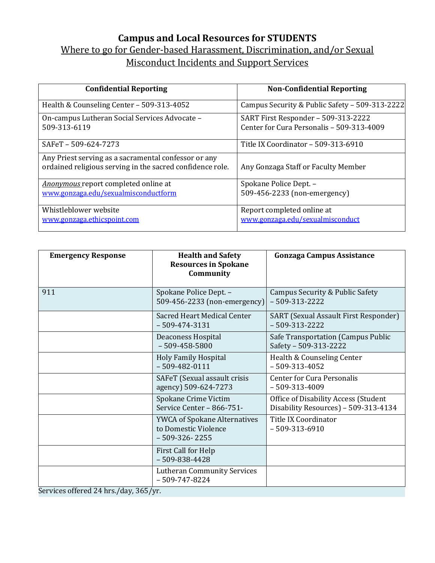## **Campus and Local Resources for STUDENTS** Where to go for Gender-based Harassment, Discrimination, and/or Sexual Misconduct Incidents and Support Services

| <b>Confidential Reporting</b>                                                                                     | <b>Non-Confidential Reporting</b>                                                |
|-------------------------------------------------------------------------------------------------------------------|----------------------------------------------------------------------------------|
| Health & Counseling Center - 509-313-4052                                                                         | Campus Security & Public Safety - 509-313-2222                                   |
| On-campus Lutheran Social Services Advocate -<br>509-313-6119                                                     | SART First Responder - 509-313-2222<br>Center for Cura Personalis - 509-313-4009 |
| SAFeT-509-624-7273                                                                                                | Title IX Coordinator - 509-313-6910                                              |
| Any Priest serving as a sacramental confessor or any<br>ordained religious serving in the sacred confidence role. | Any Gonzaga Staff or Faculty Member                                              |
| Anonymous report completed online at<br>www.gonzaga.edu/sexualmisconductform                                      | Spokane Police Dept. -<br>509-456-2233 (non-emergency)                           |
| Whistleblower website<br>www.gonzaga.ethicspoint.com                                                              | Report completed online at<br>www.gonzaga.edu/sexualmisconduct                   |

| <b>Emergency Response</b> | <b>Health and Safety</b><br><b>Resources in Spokane</b><br>Community           | <b>Gonzaga Campus Assistance</b>                                             |
|---------------------------|--------------------------------------------------------------------------------|------------------------------------------------------------------------------|
| 911                       | Spokane Police Dept. -<br>509-456-2233 (non-emergency)                         | Campus Security & Public Safety<br>$-509-313-2222$                           |
|                           | Sacred Heart Medical Center<br>$-509 - 474 - 3131$                             | SART (Sexual Assault First Responder)<br>$-509-313-2222$                     |
|                           | Deaconess Hospital<br>$-509 - 458 - 5800$                                      | Safe Transportation (Campus Public<br>Safety - 509-313-2222                  |
|                           | <b>Holy Family Hospital</b><br>$-509 - 482 - 0111$                             | Health & Counseling Center<br>$-509-313-4052$                                |
|                           | SAFeT (Sexual assault crisis<br>agency) 509-624-7273                           | <b>Center for Cura Personalis</b><br>$-509-313-4009$                         |
|                           | Spokane Crime Victim<br>Service Center - 866-751-                              | Office of Disability Access (Student<br>Disability Resources) - 509-313-4134 |
|                           | <b>YWCA of Spokane Alternatives</b><br>to Domestic Violence<br>$-509-326-2255$ | <b>Title IX Coordinator</b><br>$-509-313-6910$                               |
|                           | First Call for Help<br>$-509 - 838 - 4428$                                     |                                                                              |
|                           | <b>Lutheran Community Services</b><br>$-509 - 747 - 8224$                      |                                                                              |

Services offered 24 hrs./day, 365/yr.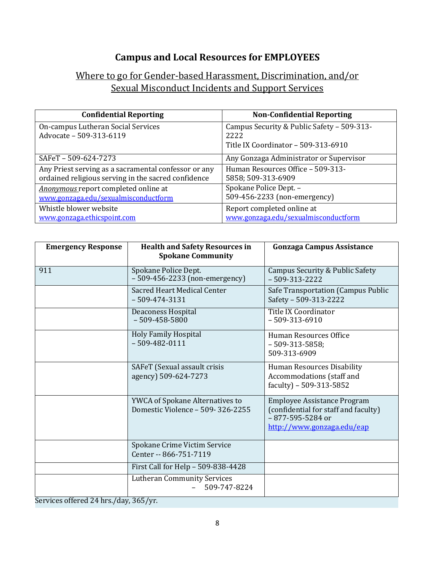# **Campus and Local Resources for EMPLOYEES**

## Where to go for Gender-based Harassment, Discrimination, and/or Sexual Misconduct Incidents and Support Services

| <b>Confidential Reporting</b>                                 | <b>Non-Confidential Reporting</b>                                                         |
|---------------------------------------------------------------|-------------------------------------------------------------------------------------------|
| On-campus Lutheran Social Services<br>Advocate - 509-313-6119 | Campus Security & Public Safety - 509-313-<br>2222<br>Title IX Coordinator - 509-313-6910 |
| SAFeT-509-624-7273                                            | Any Gonzaga Administrator or Supervisor                                                   |
| Any Priest serving as a sacramental confessor or any          | Human Resources Office - 509-313-                                                         |
| ordained religious serving in the sacred confidence           | 5858; 509-313-6909                                                                        |
| Anonymous report completed online at                          | Spokane Police Dept. -                                                                    |
| www.gonzaga.edu/sexualmisconductform                          | 509-456-2233 (non-emergency)                                                              |
| Whistle blower website                                        | Report completed online at                                                                |
| www.gonzaga.ethicspoint.com                                   | www.gonzaga.edu/sexualmisconductform                                                      |

| <b>Emergency Response</b> | <b>Health and Safety Resources in</b><br><b>Spokane Community</b>   | <b>Gonzaga Campus Assistance</b>                                                                                                   |
|---------------------------|---------------------------------------------------------------------|------------------------------------------------------------------------------------------------------------------------------------|
| 911                       | Spokane Police Dept.<br>$-509 - 456 - 2233$ (non-emergency)         | Campus Security & Public Safety<br>$-509-313-2222$                                                                                 |
|                           | <b>Sacred Heart Medical Center</b><br>$-509 - 474 - 3131$           | Safe Transportation (Campus Public<br>Safety - 509-313-2222                                                                        |
|                           | <b>Deaconess Hospital</b><br>$-509 - 458 - 5800$                    | <b>Title IX Coordinator</b><br>$-509-313-6910$                                                                                     |
|                           | <b>Holy Family Hospital</b><br>$-509 - 482 - 0111$                  | Human Resources Office<br>$-509-313-5858;$<br>509-313-6909                                                                         |
|                           | SAFeT (Sexual assault crisis<br>agency) 509-624-7273                | <b>Human Resources Disability</b><br>Accommodations (staff and<br>faculty) - 509-313-5852                                          |
|                           | YWCA of Spokane Alternatives to<br>Domestic Violence - 509-326-2255 | <b>Employee Assistance Program</b><br>(confidential for staff and faculty)<br>$-877 - 595 - 5284$ or<br>http://www.gonzaga.edu/eap |
|                           | Spokane Crime Victim Service<br>Center -- 866-751-7119              |                                                                                                                                    |
|                           | First Call for Help - 509-838-4428                                  |                                                                                                                                    |
|                           | <b>Lutheran Community Services</b><br>509-747-8224                  |                                                                                                                                    |

Services offered 24 hrs./day, 365/yr.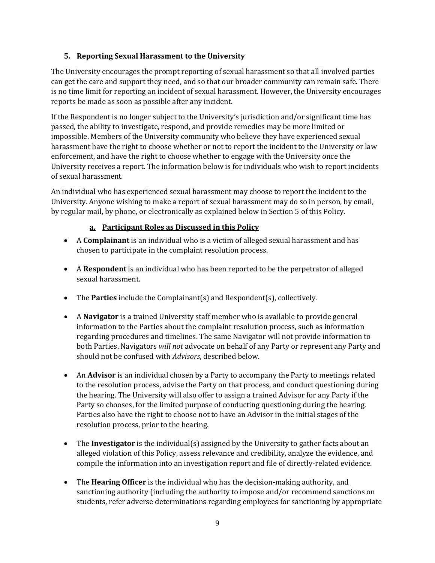#### **5. Reporting Sexual Harassment to the University**

The University encourages the prompt reporting of sexual harassment so that all involved parties can get the care and support they need, and so that our broader community can remain safe. There is no time limit for reporting an incident of sexual harassment. However, the University encourages reports be made as soon as possible after any incident.

If the Respondent is no longer subject to the University's jurisdiction and/or significant time has passed, the ability to investigate, respond, and provide remedies may be more limited or impossible. Members of the University community who believe they have experienced sexual harassment have the right to choose whether or not to report the incident to the University or law enforcement, and have the right to choose whether to engage with the University once the University receives a report. The information below is for individuals who wish to report incidents of sexual harassment.

An individual who has experienced sexual harassment may choose to report the incident to the University. Anyone wishing to make a report of sexual harassment may do so in person, by email, by regular mail, by phone, or electronically as explained below in Section 5 of this Policy.

#### **a. Participant Roles as Discussed in this Policy**

- A **Complainant** is an individual who is a victim of alleged sexual harassment and has chosen to participate in the complaint resolution process.
- A **Respondent** is an individual who has been reported to be the perpetrator of alleged sexual harassment.
- The **Parties** include the Complainant(s) and Respondent(s), collectively.
- A **Navigator** is a trained University staff member who is available to provide general information to the Parties about the complaint resolution process, such as information regarding procedures and timelines. The same Navigator will not provide information to both Parties. Navigators *will not* advocate on behalf of any Party or represent any Party and should not be confused with *Advisors*, described below.
- An **Advisor** is an individual chosen by a Party to accompany the Party to meetings related to the resolution process, advise the Party on that process, and conduct questioning during the hearing. The University will also offer to assign a trained Advisor for any Party if the Party so chooses, for the limited purpose of conducting questioning during the hearing. Parties also have the right to choose not to have an Advisor in the initial stages of the resolution process, prior to the hearing.
- The **Investigator** is the individual(s) assigned by the University to gather facts about an alleged violation of this Policy, assess relevance and credibility, analyze the evidence, and compile the information into an investigation report and file of directly-related evidence.
- The **Hearing Officer** is the individual who has the decision-making authority, and sanctioning authority (including the authority to impose and/or recommend sanctions on students, refer adverse determinations regarding employees for sanctioning by appropriate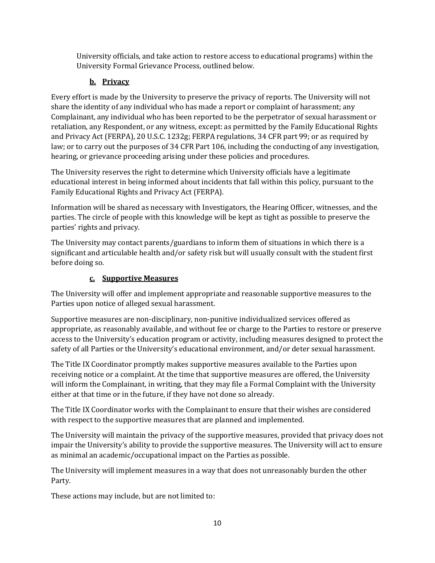University officials, and take action to restore access to educational programs) within the University Formal Grievance Process, outlined below.

### **b. Privacy**

Every effort is made by the University to preserve the privacy of reports. The University will not share the identity of any individual who has made a report or complaint of harassment; any Complainant, any individual who has been reported to be the perpetrator of sexual harassment or retaliation, any Respondent, or any witness, except: as permitted by the Family Educational Rights and Privacy Act (FERPA), 20 U.S.C. 1232g; FERPA regulations, 34 CFR part 99; or as required by law; or to carry out the purposes of 34 CFR Part 106, including the conducting of any investigation, hearing, or grievance proceeding arising under these policies and procedures.

The University reserves the right to determine which University officials have a legitimate educational interest in being informed about incidents that fall within this policy, pursuant to the Family Educational Rights and Privacy Act (FERPA).

Information will be shared as necessary with Investigators, the Hearing Officer, witnesses, and the parties. The circle of people with this knowledge will be kept as tight as possible to preserve the parties' rights and privacy.

The University may contact parents/guardians to inform them of situations in which there is a significant and articulable health and/or safety risk but will usually consult with the student first before doing so.

### **c. Supportive Measures**

The University will offer and implement appropriate and reasonable supportive measures to the Parties upon notice of alleged sexual harassment.

Supportive measures are non-disciplinary, non-punitive individualized services offered as appropriate, as reasonably available, and without fee or charge to the Parties to restore or preserve access to the University's education program or activity, including measures designed to protect the safety of all Parties or the University's educational environment, and/or deter sexual harassment.

The Title IX Coordinator promptly makes supportive measures available to the Parties upon receiving notice or a complaint. At the time that supportive measures are offered, the University will inform the Complainant, in writing, that they may file a Formal Complaint with the University either at that time or in the future, if they have not done so already.

The Title IX Coordinator works with the Complainant to ensure that their wishes are considered with respect to the supportive measures that are planned and implemented.

The University will maintain the privacy of the supportive measures, provided that privacy does not impair the University's ability to provide the supportive measures. The University will act to ensure as minimal an academic/occupational impact on the Parties as possible.

The University will implement measures in a way that does not unreasonably burden the other Party.

These actions may include, but are not limited to: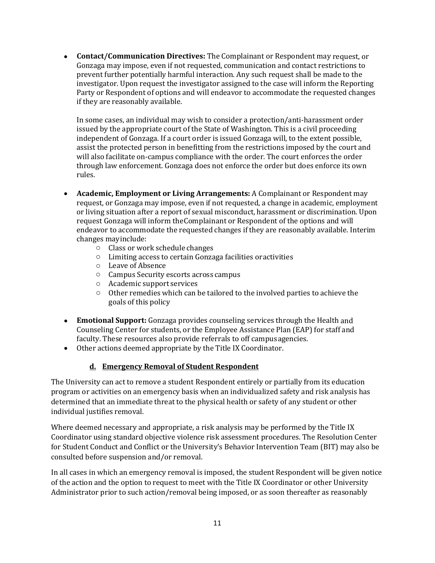• **Contact/Communication Directives:** The Complainant or Respondent may request, or Gonzaga may impose, even if not requested, communication and contact restrictions to prevent further potentially harmful interaction. Any such request shall be made to the investigator. Upon request the investigator assigned to the case will inform the Reporting Party or Respondent of options and will endeavor to accommodate the requested changes if they are reasonably available.

In some cases, an individual may wish to consider a protection/anti-harassment order issued by the appropriate court of the State of Washington. This is a civil proceeding independent of Gonzaga. If a court order is issued Gonzaga will, to the extent possible, assist the protected person in benefitting from the restrictions imposed by the court and will also facilitate on-campus compliance with the order. The court enforces the order through law enforcement. Gonzaga does not enforce the order but does enforce its own rules.

- **Academic, Employment or Living Arrangements:** A Complainant or Respondent may request, or Gonzaga may impose, even if not requested, a change in academic, employment or living situation after a report of sexual misconduct, harassment or discrimination. Upon request Gonzaga will inform theComplainant or Respondent of the options and will endeavor to accommodate the requested changes if they are reasonably available. Interim changes mayinclude:
	- o Class or work schedule changes
	- o Limiting access to certain Gonzaga facilities oractivities
	- o Leave of Absence
	- o Campus Security escorts across campus
	- o Academic support services
	- o Other remedies which can be tailored to the involved parties to achieve the goals of this policy
- **Emotional Support:** Gonzaga provides counseling services through the Health and Counseling Center for students, or the Employee Assistance Plan (EAP) for staff and faculty. These resources also provide referrals to off campusagencies.
- Other actions deemed appropriate by the Title IX Coordinator.

### **d. Emergency Removal of Student Respondent**

The University can act to remove a student Respondent entirely or partially from its education program or activities on an emergency basis when an individualized safety and risk analysis has determined that an immediate threat to the physical health or safety of any student or other individual justifies removal.

Where deemed necessary and appropriate, a risk analysis may be performed by the Title IX Coordinator using standard objective violence risk assessment procedures. The Resolution Center for Student Conduct and Conflict or the University's Behavior Intervention Team (BIT) may also be consulted before suspension and/or removal.

In all cases in which an emergency removal is imposed, the student Respondent will be given notice of the action and the option to request to meet with the Title IX Coordinator or other University Administrator prior to such action/removal being imposed, or as soon thereafter as reasonably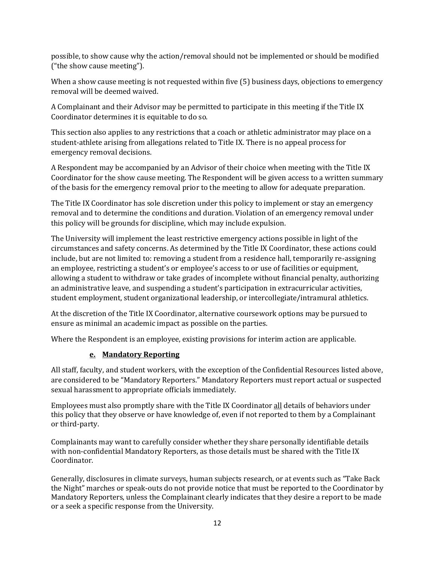possible, to show cause why the action/removal should not be implemented or should be modified ("the show cause meeting").

When a show cause meeting is not requested within five (5) business days, objections to emergency removal will be deemed waived.

A Complainant and their Advisor may be permitted to participate in this meeting if the Title IX Coordinator determines it is equitable to do so.

This section also applies to any restrictions that a coach or athletic administrator may place on a student-athlete arising from allegations related to Title IX. There is no appeal process for emergency removal decisions.

A Respondent may be accompanied by an Advisor of their choice when meeting with the Title IX Coordinator for the show cause meeting. The Respondent will be given access to a written summary of the basis for the emergency removal prior to the meeting to allow for adequate preparation.

The Title IX Coordinator has sole discretion under this policy to implement or stay an emergency removal and to determine the conditions and duration. Violation of an emergency removal under this policy will be grounds for discipline, which may include expulsion.

The University will implement the least restrictive emergency actions possible in light of the circumstances and safety concerns. As determined by the Title IX Coordinator, these actions could include, but are not limited to: removing a student from a residence hall, temporarily re-assigning an employee, restricting a student's or employee's access to or use of facilities or equipment, allowing a student to withdraw or take grades of incomplete without financial penalty, authorizing an administrative leave, and suspending a student's participation in extracurricular activities, student employment, student organizational leadership, or intercollegiate/intramural athletics.

At the discretion of the Title IX Coordinator, alternative coursework options may be pursued to ensure as minimal an academic impact as possible on the parties.

Where the Respondent is an employee, existing provisions for interim action are applicable.

### **e. Mandatory Reporting**

All staff, faculty, and student workers, with the exception of the Confidential Resources listed above, are considered to be "Mandatory Reporters." Mandatory Reporters must report actual or suspected sexual harassment to appropriate officials immediately.

Employees must also promptly share with the Title IX Coordinator all details of behaviors under this policy that they observe or have knowledge of, even if not reported to them by a Complainant or third-party.

Complainants may want to carefully consider whether they share personally identifiable details with non-confidential Mandatory Reporters, as those details must be shared with the Title IX Coordinator.

Generally, disclosures in climate surveys, human subjects research, or at events such as "Take Back the Night" marches or speak-outs do not provide notice that must be reported to the Coordinator by Mandatory Reporters, unless the Complainant clearly indicates that they desire a report to be made or a seek a specific response from the University.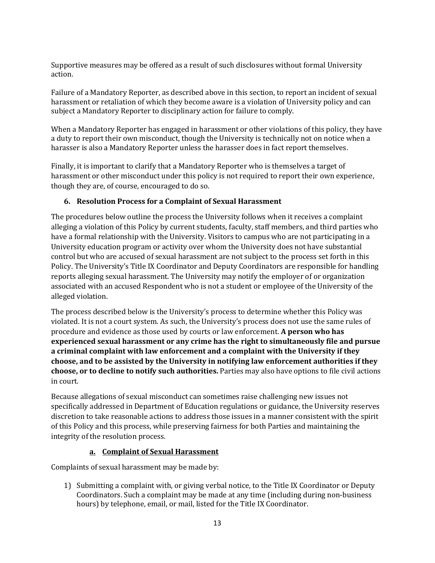Supportive measures may be offered as a result of such disclosures without formal University action.

Failure of a Mandatory Reporter, as described above in this section, to report an incident of sexual harassment or retaliation of which they become aware is a violation of University policy and can subject a Mandatory Reporter to disciplinary action for failure to comply.

When a Mandatory Reporter has engaged in harassment or other violations of this policy, they have a duty to report their own misconduct, though the University is technically not on notice when a harasser is also a Mandatory Reporter unless the harasser does in fact report themselves.

Finally, it is important to clarify that a Mandatory Reporter who is themselves a target of harassment or other misconduct under this policy is not required to report their own experience, though they are, of course, encouraged to do so.

#### **6. Resolution Process for a Complaint of Sexual Harassment**

The procedures below outline the process the University follows when it receives a complaint alleging a violation of this Policy by current students, faculty, staff members, and third parties who have a formal relationship with the University. Visitors to campus who are not participating in a University education program or activity over whom the University does not have substantial control but who are accused of sexual harassment are not subject to the process set forth in this Policy. The University's Title IX Coordinator and Deputy Coordinators are responsible for handling reports alleging sexual harassment. The University may notify the employer of or organization associated with an accused Respondent who is not a student or employee of the University of the alleged violation.

The process described below is the University's process to determine whether this Policy was violated. It is not a court system. As such, the University's process does not use the same rules of procedure and evidence as those used by courts or law enforcement. **A person who has experienced sexual harassment or any crime has the right to simultaneously file and pursue a criminal complaint with law enforcement and a complaint with the University if they choose, and to be assisted by the University in notifying law enforcement authorities if they choose, or to decline to notify such authorities.** Parties may also have options to file civil actions in court.

Because allegations of sexual misconduct can sometimes raise challenging new issues not specifically addressed in Department of Education regulations or guidance, the University reserves discretion to take reasonable actions to address those issues in a manner consistent with the spirit of this Policy and this process, while preserving fairness for both Parties and maintaining the integrity of the resolution process.

### **a. Complaint of Sexual Harassment**

Complaints of sexual harassment may be made by:

1) Submitting a complaint with, or giving verbal notice, to the Title IX Coordinator or Deputy Coordinators. Such a complaint may be made at any time (including during non-business hours) by telephone, email, or mail, listed for the Title IX Coordinator.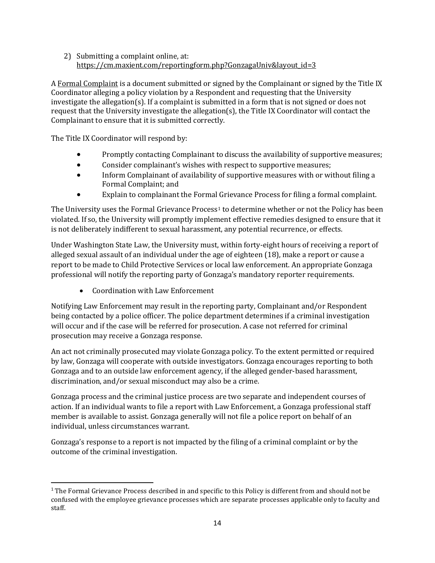#### 2) Submitting a complaint online, at: https://cm.maxient.com/reportingform.php?GonzagaUniv&layout\_id=3

A Formal Complaint is a document submitted or signed by the Complainant or signed by the Title IX Coordinator alleging a policy violation by a Respondent and requesting that the University investigate the allegation(s). If a complaint is submitted in a form that is not signed or does not request that the University investigate the allegation(s), the Title IX Coordinator will contact the Complainant to ensure that it is submitted correctly.

The Title IX Coordinator will respond by:

- Promptly contacting Complainant to discuss the availability of supportive measures;
- Consider complainant's wishes with respect to supportive measures;
- Inform Complainant of availability of supportive measures with or without filing a Formal Complaint; and
- Explain to complainant the Formal Grievance Process for filing a formal complaint.

The University uses the Formal Grievance Process<sup>[1](#page-13-0)</sup> to determine whether or not the Policy has been violated. If so, the University will promptly implement effective remedies designed to ensure that it is not deliberately indifferent to sexual harassment, any potential recurrence, or effects.

Under Washington State Law, the University must, within forty-eight hours of receiving a report of alleged sexual assault of an individual under the age of eighteen (18), make a report or cause a report to be made to Child Protective Services or local law enforcement. An appropriate Gonzaga professional will notify the reporting party of Gonzaga's mandatory reporter requirements.

• Coordination with Law Enforcement

Notifying Law Enforcement may result in the reporting party, Complainant and/or Respondent being contacted by a police officer. The police department determines if a criminal investigation will occur and if the case will be referred for prosecution. A case not referred for criminal prosecution may receive a Gonzaga response.

An act not criminally prosecuted may violate Gonzaga policy. To the extent permitted or required by law, Gonzaga will cooperate with outside investigators. Gonzaga encourages reporting to both Gonzaga and to an outside law enforcement agency, if the alleged gender-based harassment, discrimination, and/or sexual misconduct may also be a crime.

Gonzaga process and the criminal justice process are two separate and independent courses of action. If an individual wants to file a report with Law Enforcement, a Gonzaga professional staff member is available to assist. Gonzaga generally will not file a police report on behalf of an individual, unless circumstances warrant.

Gonzaga's response to a report is not impacted by the filing of a criminal complaint or by the outcome of the criminal investigation.

<span id="page-13-0"></span><sup>&</sup>lt;sup>1</sup> The Formal Grievance Process described in and specific to this Policy is different from and should not be confused with the employee grievance processes which are separate processes applicable only to faculty and staff.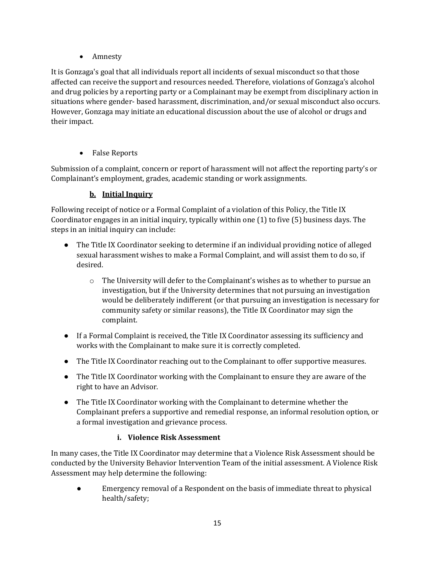• Amnesty

It is Gonzaga's goal that all individuals report all incidents of sexual misconduct so that those affected can receive the support and resources needed. Therefore, violations of Gonzaga's alcohol and drug policies by a reporting party or a Complainant may be exempt from disciplinary action in situations where gender- based harassment, discrimination, and/or sexual misconduct also occurs. However, Gonzaga may initiate an educational discussion about the use of alcohol or drugs and their impact.

• False Reports

Submission of a complaint, concern or report of harassment will not affect the reporting party's or Complainant's employment, grades, academic standing or work assignments.

### **b. Initial Inquiry**

Following receipt of notice or a Formal Complaint of a violation of this Policy, the Title IX Coordinator engages in an initial inquiry, typically within one (1) to five (5) business days. The steps in an initial inquiry can include:

- The Title IX Coordinator seeking to determine if an individual providing notice of alleged sexual harassment wishes to make a Formal Complaint, and will assist them to do so, if desired.
	- o The University will defer to the Complainant's wishes as to whether to pursue an investigation, but if the University determines that not pursuing an investigation would be deliberately indifferent (or that pursuing an investigation is necessary for community safety or similar reasons), the Title IX Coordinator may sign the complaint.
- If a Formal Complaint is received, the Title IX Coordinator assessing its sufficiency and works with the Complainant to make sure it is correctly completed.
- The Title IX Coordinator reaching out to the Complainant to offer supportive measures.
- The Title IX Coordinator working with the Complainant to ensure they are aware of the right to have an Advisor.
- The Title IX Coordinator working with the Complainant to determine whether the Complainant prefers a supportive and remedial response, an informal resolution option, or a formal investigation and grievance process.

### **i. Violence Risk Assessment**

In many cases, the Title IX Coordinator may determine that a Violence Risk Assessment should be conducted by the University Behavior Intervention Team of the initial assessment. A Violence Risk Assessment may help determine the following:

Emergency removal of a Respondent on the basis of immediate threat to physical health/safety;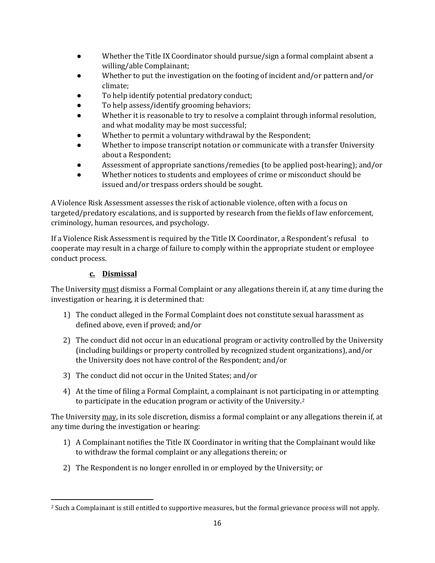- Whether the Title IX Coordinator should pursue/sign a formal complaint absent a willing/able Complainant;
- Whether to put the investigation on the footing of incident and/or pattern and/or climate;
- To help identify potential predatory conduct;
- To help assess/identify grooming behaviors;
- Whether it is reasonable to try to resolve a complaint through informal resolution, and what modality may be most successful;
- Whether to permit a voluntary withdrawal by the Respondent;
- Whether to impose transcript notation or communicate with a transfer University about a Respondent;
- Assessment of appropriate sanctions/remedies (to be applied post-hearing); and/or
- Whether notices to students and employees of crime or misconduct should be issued and/or trespass orders should be sought.

A Violence Risk Assessment assesses the risk of actionable violence, often with a focus on targeted/predatory escalations, and is supported by research from the fields of law enforcement, criminology, human resources, and psychology.

If a Violence Risk Assessment is required by the Title IX Coordinator, a Respondent's refusal to cooperate may result in a charge of failure to comply within the appropriate student or employee conduct process.

### **c. Dismissal**

The University must dismiss a Formal Complaint or any allegations therein if, at any time during the investigation or hearing, it is determined that:

- 1) The conduct alleged in the Formal Complaint does not constitute sexual harassment as defined above, even if proved; and/or
- 2) The conduct did not occur in an educational program or activity controlled by the University (including buildings or property controlled by recognized student organizations), and/or the University does not have control of the Respondent; and/or
- 3) The conduct did not occur in the United States; and/or
- 4) At the time of filing a Formal Complaint, a complainant is not participating in or attempting to participate in the education program or activity of the University.[2](#page-15-0)

The University may, in its sole discretion, dismiss a formal complaint or any allegations therein if, at any time during the investigation or hearing:

- 1) A Complainant notifies the Title IX Coordinator in writing that the Complainant would like to withdraw the formal complaint or any allegations therein; or
- 2) The Respondent is no longer enrolled in or employed by the University; or

<span id="page-15-0"></span><sup>2</sup> Such a Complainant is still entitled to supportive measures, but the formal grievance process will not apply.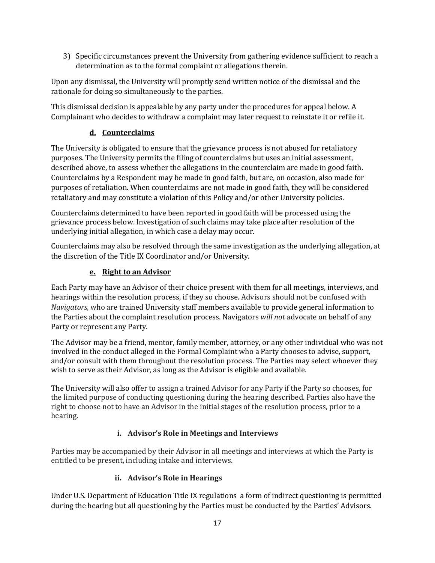3) Specific circumstances prevent the University from gathering evidence sufficient to reach a determination as to the formal complaint or allegations therein.

Upon any dismissal, the University will promptly send written notice of the dismissal and the rationale for doing so simultaneously to the parties.

This dismissal decision is appealable by any party under the procedures for appeal below. A Complainant who decides to withdraw a complaint may later request to reinstate it or refile it.

### **d. Counterclaims**

The University is obligated to ensure that the grievance process is not abused for retaliatory purposes. The University permits the filing of counterclaims but uses an initial assessment, described above, to assess whether the allegations in the counterclaim are made in good faith. Counterclaims by a Respondent may be made in good faith, but are, on occasion, also made for purposes of retaliation. When counterclaims are not made in good faith, they will be considered retaliatory and may constitute a violation of this Policy and/or other University policies.

Counterclaims determined to have been reported in good faith will be processed using the grievance process below. Investigation of such claims may take place after resolution of the underlying initial allegation, in which case a delay may occur.

Counterclaims may also be resolved through the same investigation as the underlying allegation, at the discretion of the Title IX Coordinator and/or University.

### **e. Right to an Advisor**

Each Party may have an Advisor of their choice present with them for all meetings, interviews, and hearings within the resolution process, if they so choose. Advisors should not be confused with *Navigators*, who are trained University staff members available to provide general information to the Parties about the complaint resolution process. Navigators *will not* advocate on behalf of any Party or represent any Party.

The Advisor may be a friend, mentor, family member, attorney, or any other individual who was not involved in the conduct alleged in the Formal Complaint who a Party chooses to advise, support, and/or consult with them throughout the resolution process. The Parties may select whoever they wish to serve as their Advisor, as long as the Advisor is eligible and available.

The University will also offer to assign a trained Advisor for any Party if the Party so chooses, for the limited purpose of conducting questioning during the hearing described. Parties also have the right to choose not to have an Advisor in the initial stages of the resolution process, prior to a hearing.

### **i. Advisor's Role in Meetings and Interviews**

Parties may be accompanied by their Advisor in all meetings and interviews at which the Party is entitled to be present, including intake and interviews.

### **ii. Advisor's Role in Hearings**

Under U.S. Department of Education Title IX regulations a form of indirect questioning is permitted during the hearing but all questioning by the Parties must be conducted by the Parties' Advisors.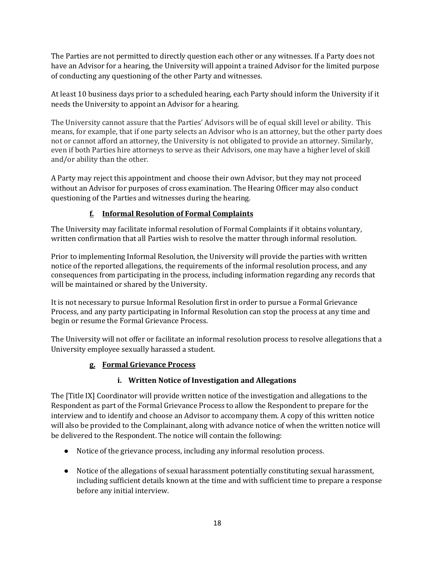The Parties are not permitted to directly question each other or any witnesses. If a Party does not have an Advisor for a hearing, the University will appoint a trained Advisor for the limited purpose of conducting any questioning of the other Party and witnesses.

At least 10 business days prior to a scheduled hearing, each Party should inform the University if it needs the University to appoint an Advisor for a hearing.

The University cannot assure that the Parties' Advisors will be of equal skill level or ability. This means, for example, that if one party selects an Advisor who is an attorney, but the other party does not or cannot afford an attorney, the University is not obligated to provide an attorney. Similarly, even if both Parties hire attorneys to serve as their Advisors, one may have a higher level of skill and/or ability than the other.

A Party may reject this appointment and choose their own Advisor, but they may not proceed without an Advisor for purposes of cross examination. The Hearing Officer may also conduct questioning of the Parties and witnesses during the hearing.

### **f. Informal Resolution of Formal Complaints**

The University may facilitate informal resolution of Formal Complaints if it obtains voluntary, written confirmation that all Parties wish to resolve the matter through informal resolution.

Prior to implementing Informal Resolution, the University will provide the parties with written notice of the reported allegations, the requirements of the informal resolution process, and any consequences from participating in the process, including information regarding any records that will be maintained or shared by the University.

It is not necessary to pursue Informal Resolution first in order to pursue a Formal Grievance Process, and any party participating in Informal Resolution can stop the process at any time and begin or resume the Formal Grievance Process.

The University will not offer or facilitate an informal resolution process to resolve allegations that a University employee sexually harassed a student.

### **g. Formal Grievance Process**

### **i. Written Notice of Investigation and Allegations**

The [Title IX] Coordinator will provide written notice of the investigation and allegations to the Respondent as part of the Formal Grievance Process to allow the Respondent to prepare for the interview and to identify and choose an Advisor to accompany them. A copy of this written notice will also be provided to the Complainant, along with advance notice of when the written notice will be delivered to the Respondent. The notice will contain the following:

- Notice of the grievance process, including any informal resolution process.
- Notice of the allegations of sexual harassment potentially constituting sexual harassment, including sufficient details known at the time and with sufficient time to prepare a response before any initial interview.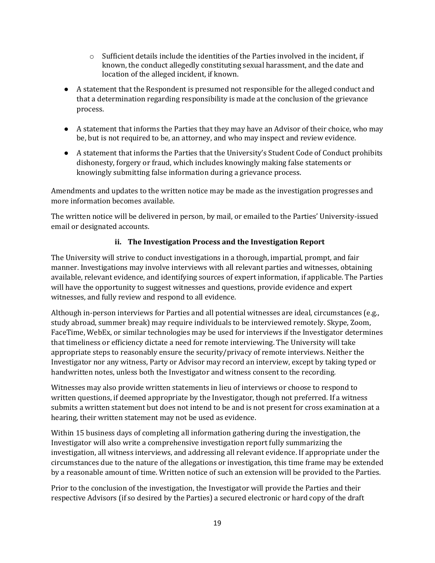- $\circ$  Sufficient details include the identities of the Parties involved in the incident, if known, the conduct allegedly constituting sexual harassment, and the date and location of the alleged incident, if known.
- A statement that the Respondent is presumed not responsible for the alleged conduct and that a determination regarding responsibility is made at the conclusion of the grievance process.
- A statement that informs the Parties that they may have an Advisor of their choice, who may be, but is not required to be, an attorney, and who may inspect and review evidence.
- A statement that informs the Parties that the University's Student Code of Conduct prohibits dishonesty, forgery or fraud, which includes knowingly making false statements or knowingly submitting false information during a grievance process.

Amendments and updates to the written notice may be made as the investigation progresses and more information becomes available.

The written notice will be delivered in person, by mail, or emailed to the Parties' University-issued email or designated accounts.

### **ii. The Investigation Process and the Investigation Report**

The University will strive to conduct investigations in a thorough, impartial, prompt, and fair manner. Investigations may involve interviews with all relevant parties and witnesses, obtaining available, relevant evidence, and identifying sources of expert information, if applicable. The Parties will have the opportunity to suggest witnesses and questions, provide evidence and expert witnesses, and fully review and respond to all evidence.

Although in-person interviews for Parties and all potential witnesses are ideal, circumstances (e.g., study abroad, summer break) may require individuals to be interviewed remotely. Skype, Zoom, FaceTime, WebEx, or similar technologies may be used for interviews if the Investigator determines that timeliness or efficiency dictate a need for remote interviewing. The University will take appropriate steps to reasonably ensure the security/privacy of remote interviews. Neither the Investigator nor any witness, Party or Advisor may record an interview, except by taking typed or handwritten notes, unless both the Investigator and witness consent to the recording.

Witnesses may also provide written statements in lieu of interviews or choose to respond to written questions, if deemed appropriate by the Investigator, though not preferred. If a witness submits a written statement but does not intend to be and is not present for cross examination at a hearing, their written statement may not be used as evidence.

Within 15 business days of completing all information gathering during the investigation, the Investigator will also write a comprehensive investigation report fully summarizing the investigation, all witness interviews, and addressing all relevant evidence. If appropriate under the circumstances due to the nature of the allegations or investigation, this time frame may be extended by a reasonable amount of time. Written notice of such an extension will be provided to the Parties.

Prior to the conclusion of the investigation, the Investigator will provide the Parties and their respective Advisors (if so desired by the Parties) a secured electronic or hard copy of the draft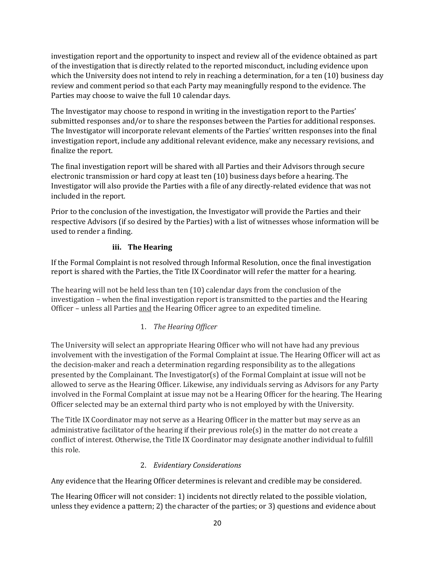investigation report and the opportunity to inspect and review all of the evidence obtained as part of the investigation that is directly related to the reported misconduct, including evidence upon which the University does not intend to rely in reaching a determination, for a ten (10) business day review and comment period so that each Party may meaningfully respond to the evidence. The Parties may choose to waive the full 10 calendar days.

The Investigator may choose to respond in writing in the investigation report to the Parties' submitted responses and/or to share the responses between the Parties for additional responses. The Investigator will incorporate relevant elements of the Parties' written responses into the final investigation report, include any additional relevant evidence, make any necessary revisions, and finalize the report.

The final investigation report will be shared with all Parties and their Advisors through secure electronic transmission or hard copy at least ten (10) business days before a hearing. The Investigator will also provide the Parties with a file of any directly-related evidence that was not included in the report.

Prior to the conclusion of the investigation, the Investigator will provide the Parties and their respective Advisors (if so desired by the Parties) with a list of witnesses whose information will be used to render a finding.

### **iii. The Hearing**

If the Formal Complaint is not resolved through Informal Resolution, once the final investigation report is shared with the Parties, the Title IX Coordinator will refer the matter for a hearing.

The hearing will not be held less than ten (10) calendar days from the conclusion of the investigation – when the final investigation report is transmitted to the parties and the Hearing Officer – unless all Parties and the Hearing Officer agree to an expedited timeline.

### 1. *The Hearing Officer*

The University will select an appropriate Hearing Officer who will not have had any previous involvement with the investigation of the Formal Complaint at issue. The Hearing Officer will act as the decision-maker and reach a determination regarding responsibility as to the allegations presented by the Complainant. The Investigator(s) of the Formal Complaint at issue will not be allowed to serve as the Hearing Officer. Likewise, any individuals serving as Advisors for any Party involved in the Formal Complaint at issue may not be a Hearing Officer for the hearing. The Hearing Officer selected may be an external third party who is not employed by with the University.

The Title IX Coordinator may not serve as a Hearing Officer in the matter but may serve as an administrative facilitator of the hearing if their previous role(s) in the matter do not create a conflict of interest. Otherwise, the Title IX Coordinator may designate another individual to fulfill this role.

### 2. *Evidentiary Considerations*

Any evidence that the Hearing Officer determines is relevant and credible may be considered.

The Hearing Officer will not consider: 1) incidents not directly related to the possible violation, unless they evidence a pattern; 2) the character of the parties; or 3) questions and evidence about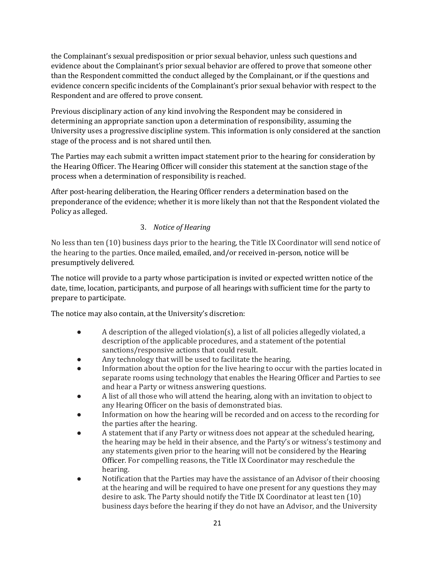the Complainant's sexual predisposition or prior sexual behavior, unless such questions and evidence about the Complainant's prior sexual behavior are offered to prove that someone other than the Respondent committed the conduct alleged by the Complainant, or if the questions and evidence concern specific incidents of the Complainant's prior sexual behavior with respect to the Respondent and are offered to prove consent.

Previous disciplinary action of any kind involving the Respondent may be considered in determining an appropriate sanction upon a determination of responsibility, assuming the University uses a progressive discipline system. This information is only considered at the sanction stage of the process and is not shared until then.

The Parties may each submit a written impact statement prior to the hearing for consideration by the Hearing Officer. The Hearing Officer will consider this statement at the sanction stage of the process when a determination of responsibility is reached.

After post-hearing deliberation, the Hearing Officer renders a determination based on the preponderance of the evidence; whether it is more likely than not that the Respondent violated the Policy as alleged.

### 3. *Notice of Hearing*

No less than ten (10) business days prior to the hearing, the Title IX Coordinator will send notice of the hearing to the parties. Once mailed, emailed, and/or received in-person, notice will be presumptively delivered.

The notice will provide to a party whose participation is invited or expected written notice of the date, time, location, participants, and purpose of all hearings with sufficient time for the party to prepare to participate.

The notice may also contain, at the University's discretion:

- A description of the alleged violation(s), a list of all policies allegedly violated, a description of the applicable procedures, and a statement of the potential sanctions/responsive actions that could result.
- Any technology that will be used to facilitate the hearing.
- Information about the option for the live hearing to occur with the parties located in separate rooms using technology that enables the Hearing Officer and Parties to see and hear a Party or witness answering questions.
- A list of all those who will attend the hearing, along with an invitation to object to any Hearing Officer on the basis of demonstrated bias.
- Information on how the hearing will be recorded and on access to the recording for the parties after the hearing.
- A statement that if any Party or witness does not appear at the scheduled hearing, the hearing may be held in their absence, and the Party's or witness's testimony and any statements given prior to the hearing will not be considered by the Hearing Officer. For compelling reasons, the Title IX Coordinator may reschedule the hearing.
- Notification that the Parties may have the assistance of an Advisor of their choosing at the hearing and will be required to have one present for any questions they may desire to ask. The Party should notify the Title IX Coordinator at least ten (10) business days before the hearing if they do not have an Advisor, and the University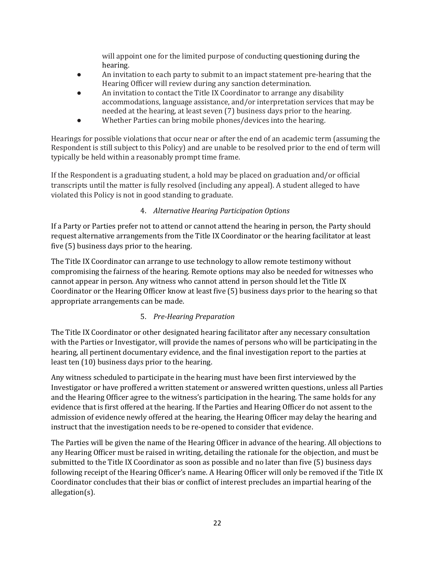will appoint one for the limited purpose of conducting questioning during the hearing.

- An invitation to each party to submit to an impact statement pre-hearing that the Hearing Officer will review during any sanction determination.
- An invitation to contact the Title IX Coordinator to arrange any disability accommodations, language assistance, and/or interpretation services that may be needed at the hearing, at least seven (7) business days prior to the hearing.
- Whether Parties can bring mobile phones/devices into the hearing.

Hearings for possible violations that occur near or after the end of an academic term (assuming the Respondent is still subject to this Policy) and are unable to be resolved prior to the end of term will typically be held within a reasonably prompt time frame.

If the Respondent is a graduating student, a hold may be placed on graduation and/or official transcripts until the matter is fully resolved (including any appeal). A student alleged to have violated this Policy is not in good standing to graduate.

### 4. *Alternative Hearing Participation Options*

If a Party or Parties prefer not to attend or cannot attend the hearing in person, the Party should request alternative arrangements from the Title IX Coordinator or the hearing facilitator at least five (5) business days prior to the hearing.

The Title IX Coordinator can arrange to use technology to allow remote testimony without compromising the fairness of the hearing. Remote options may also be needed for witnesses who cannot appear in person. Any witness who cannot attend in person should let the Title IX Coordinator or the Hearing Officer know at least five (5) business days prior to the hearing so that appropriate arrangements can be made.

### 5. *Pre-Hearing Preparation*

The Title IX Coordinator or other designated hearing facilitator after any necessary consultation with the Parties or Investigator, will provide the names of persons who will be participating in the hearing, all pertinent documentary evidence, and the final investigation report to the parties at least ten (10) business days prior to the hearing.

Any witness scheduled to participate in the hearing must have been first interviewed by the Investigator or have proffered a written statement or answered written questions, unless all Parties and the Hearing Officer agree to the witness's participation in the hearing. The same holds for any evidence that is first offered at the hearing. If the Parties and Hearing Officer do not assent to the admission of evidence newly offered at the hearing, the Hearing Officer may delay the hearing and instruct that the investigation needs to be re-opened to consider that evidence.

The Parties will be given the name of the Hearing Officer in advance of the hearing. All objections to any Hearing Officer must be raised in writing, detailing the rationale for the objection, and must be submitted to the Title IX Coordinator as soon as possible and no later than five (5) business days following receipt of the Hearing Officer's name. A Hearing Officer will only be removed if the Title IX Coordinator concludes that their bias or conflict of interest precludes an impartial hearing of the allegation(s).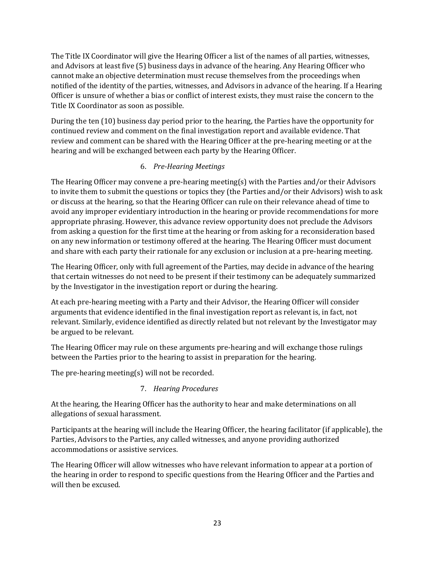The Title IX Coordinator will give the Hearing Officer a list of the names of all parties, witnesses, and Advisors at least five (5) business days in advance of the hearing. Any Hearing Officer who cannot make an objective determination must recuse themselves from the proceedings when notified of the identity of the parties, witnesses, and Advisors in advance of the hearing. If a Hearing Officer is unsure of whether a bias or conflict of interest exists, they must raise the concern to the Title IX Coordinator as soon as possible.

During the ten (10) business day period prior to the hearing, the Parties have the opportunity for continued review and comment on the final investigation report and available evidence. That review and comment can be shared with the Hearing Officer at the pre-hearing meeting or at the hearing and will be exchanged between each party by the Hearing Officer.

### 6. *Pre-Hearing Meetings*

The Hearing Officer may convene a pre-hearing meeting(s) with the Parties and/or their Advisors to invite them to submit the questions or topics they (the Parties and/or their Advisors) wish to ask or discuss at the hearing, so that the Hearing Officer can rule on their relevance ahead of time to avoid any improper evidentiary introduction in the hearing or provide recommendations for more appropriate phrasing. However, this advance review opportunity does not preclude the Advisors from asking a question for the first time at the hearing or from asking for a reconsideration based on any new information or testimony offered at the hearing. The Hearing Officer must document and share with each party their rationale for any exclusion or inclusion at a pre-hearing meeting.

The Hearing Officer, only with full agreement of the Parties, may decide in advance of the hearing that certain witnesses do not need to be present if their testimony can be adequately summarized by the Investigator in the investigation report or during the hearing.

At each pre-hearing meeting with a Party and their Advisor, the Hearing Officer will consider arguments that evidence identified in the final investigation report as relevant is, in fact, not relevant. Similarly, evidence identified as directly related but not relevant by the Investigator may be argued to be relevant.

The Hearing Officer may rule on these arguments pre-hearing and will exchange those rulings between the Parties prior to the hearing to assist in preparation for the hearing.

The pre-hearing meeting(s) will not be recorded.

#### 7. *Hearing Procedures*

At the hearing, the Hearing Officer has the authority to hear and make determinations on all allegations of sexual harassment.

Participants at the hearing will include the Hearing Officer, the hearing facilitator (if applicable), the Parties, Advisors to the Parties, any called witnesses, and anyone providing authorized accommodations or assistive services.

The Hearing Officer will allow witnesses who have relevant information to appear at a portion of the hearing in order to respond to specific questions from the Hearing Officer and the Parties and will then be excused.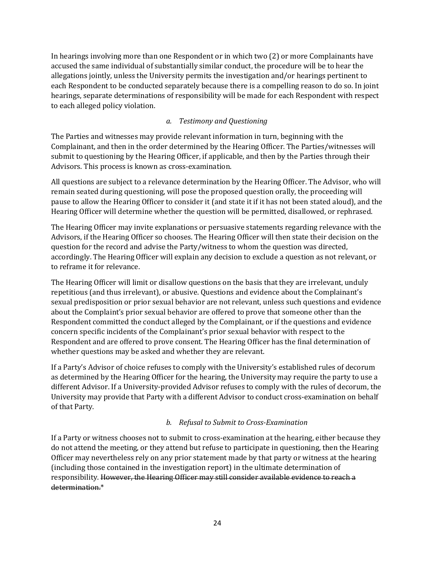In hearings involving more than one Respondent or in which two (2) or more Complainants have accused the same individual of substantially similar conduct, the procedure will be to hear the allegations jointly, unless the University permits the investigation and/or hearings pertinent to each Respondent to be conducted separately because there is a compelling reason to do so. In joint hearings, separate determinations of responsibility will be made for each Respondent with respect to each alleged policy violation.

#### *a. Testimony and Questioning*

The Parties and witnesses may provide relevant information in turn, beginning with the Complainant, and then in the order determined by the Hearing Officer. The Parties/witnesses will submit to questioning by the Hearing Officer, if applicable, and then by the Parties through their Advisors. This process is known as cross-examination.

All questions are subject to a relevance determination by the Hearing Officer. The Advisor, who will remain seated during questioning, will pose the proposed question orally, the proceeding will pause to allow the Hearing Officer to consider it (and state it if it has not been stated aloud), and the Hearing Officer will determine whether the question will be permitted, disallowed, or rephrased.

The Hearing Officer may invite explanations or persuasive statements regarding relevance with the Advisors, if the Hearing Officer so chooses. The Hearing Officer will then state their decision on the question for the record and advise the Party/witness to whom the question was directed, accordingly. The Hearing Officer will explain any decision to exclude a question as not relevant, or to reframe it for relevance.

The Hearing Officer will limit or disallow questions on the basis that they are irrelevant, unduly repetitious (and thus irrelevant), or abusive. Questions and evidence about the Complainant's sexual predisposition or prior sexual behavior are not relevant, unless such questions and evidence about the Complaint's prior sexual behavior are offered to prove that someone other than the Respondent committed the conduct alleged by the Complainant, or if the questions and evidence concern specific incidents of the Complainant's prior sexual behavior with respect to the Respondent and are offered to prove consent. The Hearing Officer has the final determination of whether questions may be asked and whether they are relevant.

If a Party's Advisor of choice refuses to comply with the University's established rules of decorum as determined by the Hearing Officer for the hearing, the University may require the party to use a different Advisor. If a University-provided Advisor refuses to comply with the rules of decorum, the University may provide that Party with a different Advisor to conduct cross-examination on behalf of that Party.

#### *b. Refusal to Submit to Cross-Examination*

If a Party or witness chooses not to submit to cross-examination at the hearing, either because they do not attend the meeting, or they attend but refuse to participate in questioning, then the Hearing Officer may nevertheless rely on any prior statement made by that party or witness at the hearing (including those contained in the investigation report) in the ultimate determination of responsibility. However, the Hearing Officer may still consider available evidence to reach a determination.\*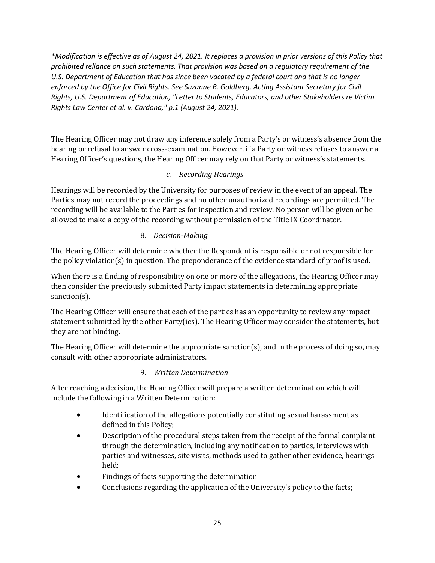*\*Modification is effective as of August 24, 2021. It replaces a provision in prior versions of this Policy that prohibited reliance on such statements. That provision was based on a regulatory requirement of the U.S. Department of Education that has since been vacated by a federal court and that is no longer enforced by the Office for Civil Rights. See Suzanne B. Goldberg, Acting Assistant Secretary for Civil Rights, U.S. Department of Education, "Letter to Students, Educators, and other Stakeholders re Victim Rights Law Center et al. v. Cardona," p.1 (August 24, 2021).*

The Hearing Officer may not draw any inference solely from a Party's or witness's absence from the hearing or refusal to answer cross-examination. However, if a Party or witness refuses to answer a Hearing Officer's questions, the Hearing Officer may rely on that Party or witness's statements.

### *c. Recording Hearings*

Hearings will be recorded by the University for purposes of review in the event of an appeal. The Parties may not record the proceedings and no other unauthorized recordings are permitted. The recording will be available to the Parties for inspection and review. No person will be given or be allowed to make a copy of the recording without permission of the Title IX Coordinator.

### 8. *Decision-Making*

The Hearing Officer will determine whether the Respondent is responsible or not responsible for the policy violation(s) in question. The preponderance of the evidence standard of proof is used.

When there is a finding of responsibility on one or more of the allegations, the Hearing Officer may then consider the previously submitted Party impact statements in determining appropriate sanction(s).

The Hearing Officer will ensure that each of the parties has an opportunity to review any impact statement submitted by the other Party(ies). The Hearing Officer may consider the statements, but they are not binding.

The Hearing Officer will determine the appropriate sanction(s), and in the process of doing so, may consult with other appropriate administrators.

### 9. *Written Determination*

After reaching a decision, the Hearing Officer will prepare a written determination which will include the following in a Written Determination:

- Identification of the allegations potentially constituting sexual harassment as defined in this Policy;
- Description of the procedural steps taken from the receipt of the formal complaint through the determination, including any notification to parties, interviews with parties and witnesses, site visits, methods used to gather other evidence, hearings held;
- Findings of facts supporting the determination
- Conclusions regarding the application of the University's policy to the facts;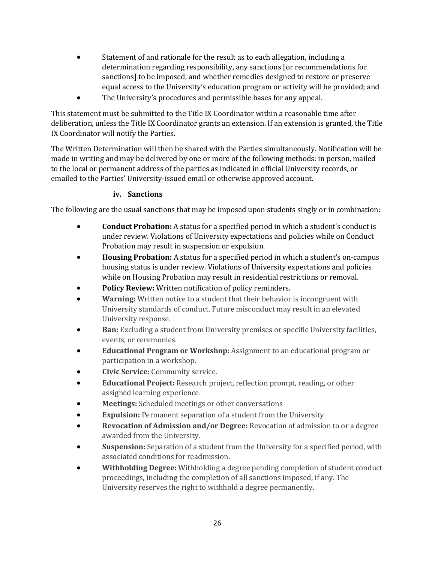- Statement of and rationale for the result as to each allegation, including a determination regarding responsibility, any sanctions [or recommendations for sanctions] to be imposed, and whether remedies designed to restore or preserve equal access to the University's education program or activity will be provided; and
- The University's procedures and permissible bases for any appeal.

This statement must be submitted to the Title IX Coordinator within a reasonable time after deliberation, unless the Title IX Coordinator grants an extension. If an extension is granted, the Title IX Coordinator will notify the Parties.

The Written Determination will then be shared with the Parties simultaneously. Notification will be made in writing and may be delivered by one or more of the following methods: in person, mailed to the local or permanent address of the parties as indicated in official University records, or emailed to the Parties' University-issued email or otherwise approved account.

#### **iv. Sanctions**

The following are the usual sanctions that may be imposed upon students singly or in combination:

- **Conduct Probation:** A status for a specified period in which a student's conduct is under review. Violations of University expectations and policies while on Conduct Probation may result in suspension or expulsion.
- **Housing Probation:** A status for a specified period in which a student's on-campus housing status is under review. Violations of University expectations and policies while on Housing Probation may result in residential restrictions or removal.
- **Policy Review:** Written notification of policy reminders.
- **Warning:** Written notice to a student that their behavior is incongruent with University standards of conduct. Future misconduct may result in an elevated University response.
- **Ban:** Excluding a student from University premises or specific University facilities, events, or ceremonies.
- **Educational Program or Workshop:** Assignment to an educational program or participation in a workshop.
- **Civic Service:** Community service.
- **Educational Project:** Research project, reflection prompt, reading, or other assigned learning experience.
- **Meetings:** Scheduled meetings or other conversations
- **Expulsion:** Permanent separation of a student from the University
- **Revocation of Admission and/or Degree:** Revocation of admission to or a degree awarded from the University.
- **Suspension:** Separation of a student from the University for a specified period, with associated conditions for readmission.
- **Withholding Degree:** Withholding a degree pending completion of student conduct proceedings, including the completion of all sanctions imposed, if any. The University reserves the right to withhold a degree permanently.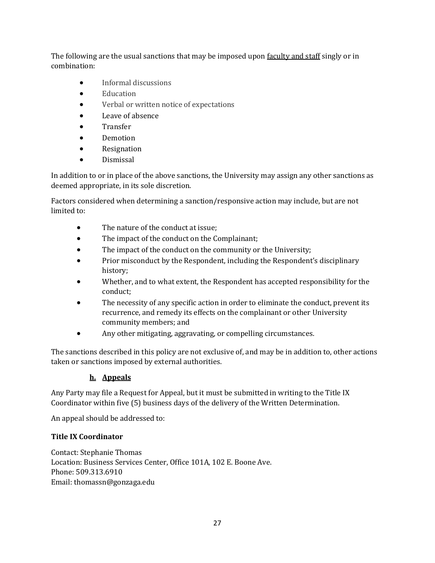The following are the usual sanctions that may be imposed upon faculty and staff singly or in combination:

- Informal discussions
- Education
- Verbal or written notice of expectations
- Leave of absence
- Transfer
- Demotion
- **Resignation**
- Dismissal

In addition to or in place of the above sanctions, the University may assign any other sanctions as deemed appropriate, in its sole discretion.

Factors considered when determining a sanction/responsive action may include, but are not limited to:

- The nature of the conduct at issue:
- The impact of the conduct on the Complainant;
- The impact of the conduct on the community or the University;
- Prior misconduct by the Respondent, including the Respondent's disciplinary history;
- Whether, and to what extent, the Respondent has accepted responsibility for the conduct;
- The necessity of any specific action in order to eliminate the conduct, prevent its recurrence, and remedy its effects on the complainant or other University community members; and
- Any other mitigating, aggravating, or compelling circumstances.

The sanctions described in this policy are not exclusive of, and may be in addition to, other actions taken or sanctions imposed by external authorities.

### **h. Appeals**

Any Party may file a Request for Appeal, but it must be submitted in writing to the Title IX Coordinator within five (5) business days of the delivery of the Written Determination.

An appeal should be addressed to:

### **Title IX Coordinator**

Contact: Stephanie Thomas Location: Business Services Center, Office 101A, 102 E. Boone Ave. Phone: 509.313.6910 Email: thomassn@gonzaga.edu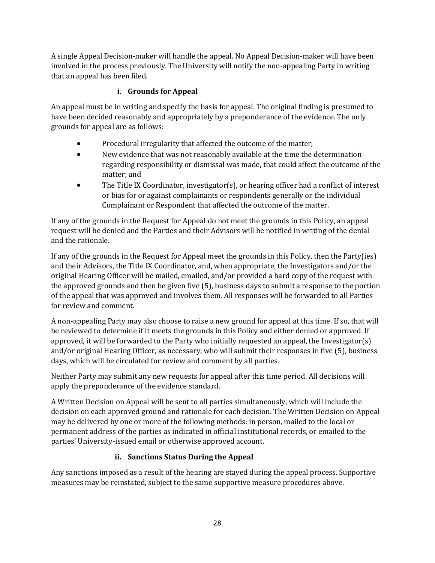A single Appeal Decision-maker will handle the appeal. No Appeal Decision-maker will have been involved in the process previously. The University will notify the non-appealing Party in writing that an appeal has been filed.

### **i. Grounds for Appeal**

An appeal must be in writing and specify the basis for appeal. The original finding is presumed to have been decided reasonably and appropriately by a preponderance of the evidence. The only grounds for appeal are as follows:

- Procedural irregularity that affected the outcome of the matter;
- New evidence that was not reasonably available at the time the determination regarding responsibility or dismissal was made, that could affect the outcome of the matter; and
- The Title IX Coordinator, investigator(s), or hearing officer had a conflict of interest or bias for or against complainants or respondents generally or the individual Complainant or Respondent that affected the outcome of the matter.

If any of the grounds in the Request for Appeal do not meet the grounds in this Policy, an appeal request will be denied and the Parties and their Advisors will be notified in writing of the denial and the rationale.

If any of the grounds in the Request for Appeal meet the grounds in this Policy, then the Party(ies) and their Advisors, the Title IX Coordinator, and, when appropriate, the Investigators and/or the original Hearing Officer will be mailed, emailed, and/or provided a hard copy of the request with the approved grounds and then be given five (5), business days to submit a response to the portion of the appeal that was approved and involves them. All responses will be forwarded to all Parties for review and comment.

A non-appealing Party may also choose to raise a new ground for appeal at this time. If so, that will be reviewed to determine if it meets the grounds in this Policy and either denied or approved. If approved, it will be forwarded to the Party who initially requested an appeal, the Investigator(s) and/or original Hearing Officer, as necessary, who will submit their responses in five (5), business days, which will be circulated for review and comment by all parties.

Neither Party may submit any new requests for appeal after this time period. All decisions will apply the preponderance of the evidence standard.

A Written Decision on Appeal will be sent to all parties simultaneously, which will include the decision on each approved ground and rationale for each decision. The Written Decision on Appeal may be delivered by one or more of the following methods: in person, mailed to the local or permanent address of the parties as indicated in official institutional records, or emailed to the parties' University-issued email or otherwise approved account.

### **ii. Sanctions Status During the Appeal**

Any sanctions imposed as a result of the hearing are stayed during the appeal process. Supportive measures may be reinstated, subject to the same supportive measure procedures above.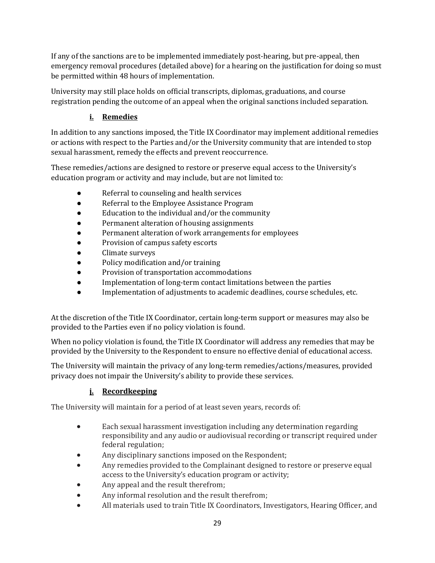If any of the sanctions are to be implemented immediately post-hearing, but pre-appeal, then emergency removal procedures (detailed above) for a hearing on the justification for doing so must be permitted within 48 hours of implementation.

University may still place holds on official transcripts, diplomas, graduations, and course registration pending the outcome of an appeal when the original sanctions included separation.

## **i. Remedies**

In addition to any sanctions imposed, the Title IX Coordinator may implement additional remedies or actions with respect to the Parties and/or the University community that are intended to stop sexual harassment, remedy the effects and prevent reoccurrence.

These remedies/actions are designed to restore or preserve equal access to the University's education program or activity and may include, but are not limited to:

- Referral to counseling and health services
- Referral to the Employee Assistance Program
- Education to the individual and/or the community
- Permanent alteration of housing assignments
- Permanent alteration of work arrangements for employees
- Provision of campus safety escorts
- Climate surveys
- Policy modification and/or training
- Provision of transportation accommodations
- Implementation of long-term contact limitations between the parties
- Implementation of adjustments to academic deadlines, course schedules, etc.

At the discretion of the Title IX Coordinator, certain long-term support or measures may also be provided to the Parties even if no policy violation is found.

When no policy violation is found, the Title IX Coordinator will address any remedies that may be provided by the University to the Respondent to ensure no effective denial of educational access.

The University will maintain the privacy of any long-term remedies/actions/measures, provided privacy does not impair the University's ability to provide these services.

### **j. Recordkeeping**

The University will maintain for a period of at least seven years, records of:

- Each sexual harassment investigation including any determination regarding responsibility and any audio or audiovisual recording or transcript required under federal regulation;
- Any disciplinary sanctions imposed on the Respondent;
- Any remedies provided to the Complainant designed to restore or preserve equal access to the University's education program or activity;
- Any appeal and the result therefrom;
- Any informal resolution and the result therefrom;
- All materials used to train Title IX Coordinators, Investigators, Hearing Officer, and